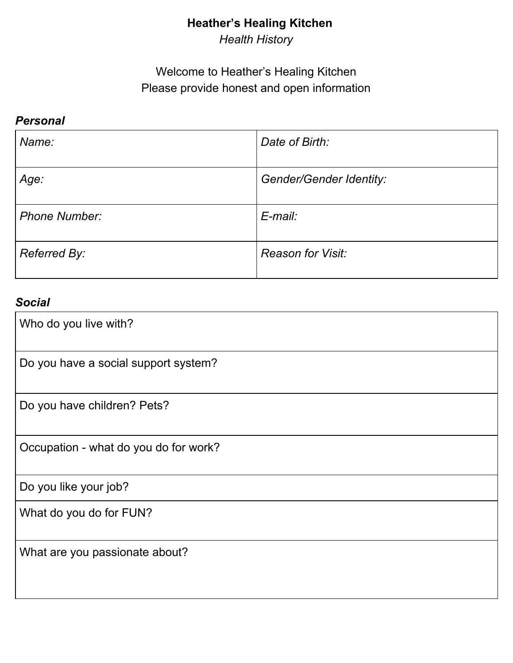# **Heather's Healing Kitchen**

*Health History*

# Welcome to Heather's Healing Kitchen Please provide honest and open information

#### *Personal*

| Name:                | Date of Birth:                 |
|----------------------|--------------------------------|
| Age:                 | <b>Gender/Gender Identity:</b> |
| <b>Phone Number:</b> | E-mail:                        |
| Referred By:         | <b>Reason for Visit:</b>       |

## *Social*

| Who do you live with?                 |
|---------------------------------------|
| Do you have a social support system?  |
| Do you have children? Pets?           |
| Occupation - what do you do for work? |
| Do you like your job?                 |
| What do you do for FUN?               |
| What are you passionate about?        |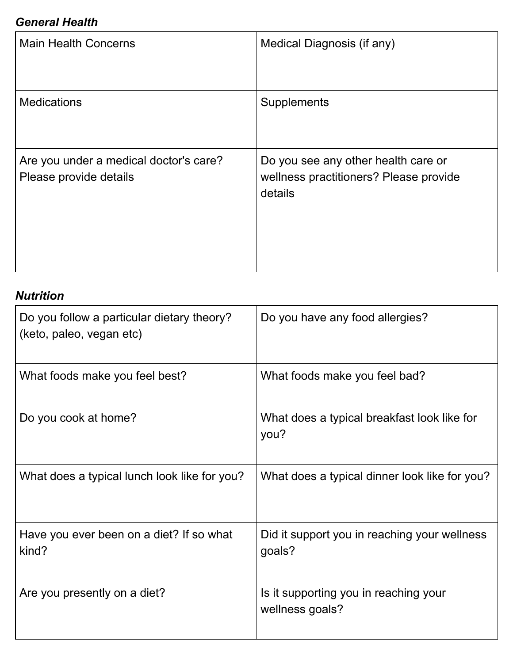## *General Health*

| <b>Main Health Concerns</b>                                      | Medical Diagnosis (if any)                                                               |
|------------------------------------------------------------------|------------------------------------------------------------------------------------------|
| <b>Medications</b>                                               | Supplements                                                                              |
| Are you under a medical doctor's care?<br>Please provide details | Do you see any other health care or<br>wellness practitioners? Please provide<br>details |

# *Nutrition*

| Do you follow a particular dietary theory?<br>(keto, paleo, vegan etc) | Do you have any food allergies?                          |
|------------------------------------------------------------------------|----------------------------------------------------------|
| What foods make you feel best?                                         | What foods make you feel bad?                            |
| Do you cook at home?                                                   | What does a typical breakfast look like for<br>you?      |
| What does a typical lunch look like for you?                           | What does a typical dinner look like for you?            |
| Have you ever been on a diet? If so what<br>kind?                      | Did it support you in reaching your wellness<br>goals?   |
| Are you presently on a diet?                                           | Is it supporting you in reaching your<br>wellness goals? |